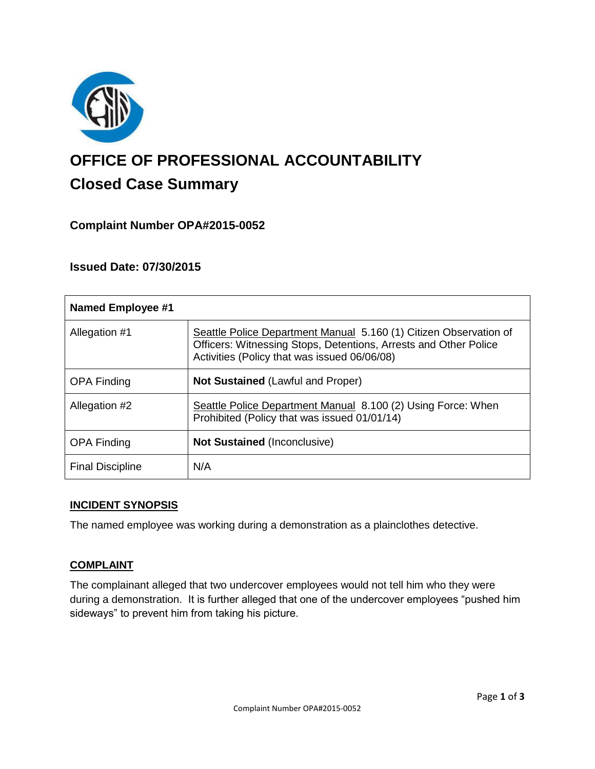

# **OFFICE OF PROFESSIONAL ACCOUNTABILITY Closed Case Summary**

# **Complaint Number OPA#2015-0052**

# **Issued Date: 07/30/2015**

| <b>Named Employee #1</b> |                                                                                                                                                                                       |
|--------------------------|---------------------------------------------------------------------------------------------------------------------------------------------------------------------------------------|
| Allegation #1            | Seattle Police Department Manual 5.160 (1) Citizen Observation of<br>Officers: Witnessing Stops, Detentions, Arrests and Other Police<br>Activities (Policy that was issued 06/06/08) |
| <b>OPA Finding</b>       | <b>Not Sustained (Lawful and Proper)</b>                                                                                                                                              |
| Allegation #2            | Seattle Police Department Manual 8.100 (2) Using Force: When<br>Prohibited (Policy that was issued 01/01/14)                                                                          |
| <b>OPA Finding</b>       | <b>Not Sustained (Inconclusive)</b>                                                                                                                                                   |
| <b>Final Discipline</b>  | N/A                                                                                                                                                                                   |

### **INCIDENT SYNOPSIS**

The named employee was working during a demonstration as a plainclothes detective.

### **COMPLAINT**

The complainant alleged that two undercover employees would not tell him who they were during a demonstration. It is further alleged that one of the undercover employees "pushed him sideways" to prevent him from taking his picture.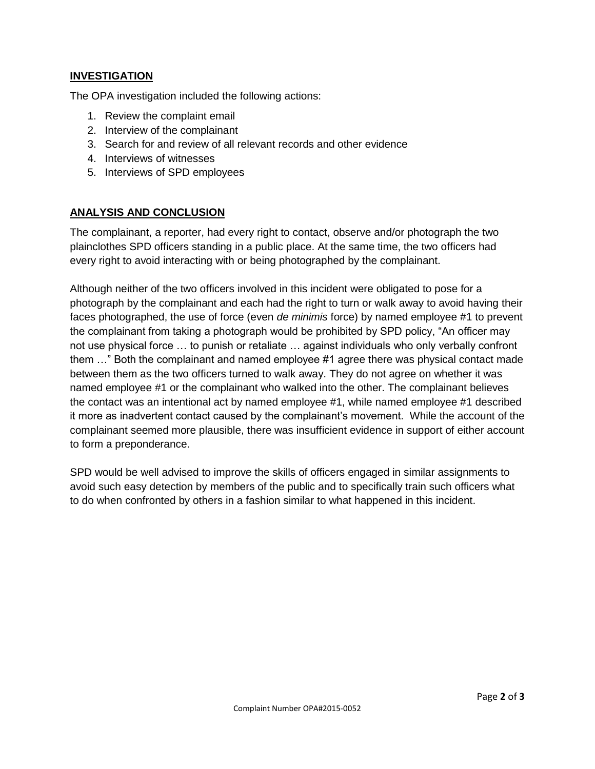## **INVESTIGATION**

The OPA investigation included the following actions:

- 1. Review the complaint email
- 2. Interview of the complainant
- 3. Search for and review of all relevant records and other evidence
- 4. Interviews of witnesses
- 5. Interviews of SPD employees

### **ANALYSIS AND CONCLUSION**

The complainant, a reporter, had every right to contact, observe and/or photograph the two plainclothes SPD officers standing in a public place. At the same time, the two officers had every right to avoid interacting with or being photographed by the complainant.

Although neither of the two officers involved in this incident were obligated to pose for a photograph by the complainant and each had the right to turn or walk away to avoid having their faces photographed, the use of force (even *de minimis* force) by named employee #1 to prevent the complainant from taking a photograph would be prohibited by SPD policy, "An officer may not use physical force … to punish or retaliate … against individuals who only verbally confront them …" Both the complainant and named employee #1 agree there was physical contact made between them as the two officers turned to walk away. They do not agree on whether it was named employee #1 or the complainant who walked into the other. The complainant believes the contact was an intentional act by named employee #1, while named employee #1 described it more as inadvertent contact caused by the complainant's movement. While the account of the complainant seemed more plausible, there was insufficient evidence in support of either account to form a preponderance.

SPD would be well advised to improve the skills of officers engaged in similar assignments to avoid such easy detection by members of the public and to specifically train such officers what to do when confronted by others in a fashion similar to what happened in this incident.